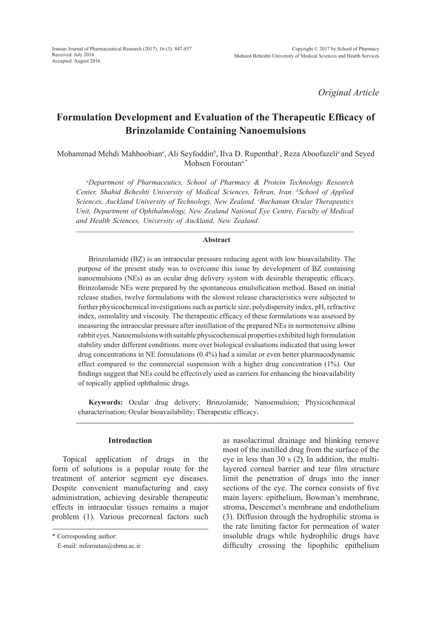*Original Article*

# **Formulation Development and Evaluation of the Therapeutic Efficacy of Brinzolamide Containing Nanoemulsions**

Mohammad Mehdi Mahboobian*<sup>a</sup>* , Ali Seyfoddin*<sup>b</sup>* , Ilva D. Rupenthal*<sup>c</sup>* , Reza Aboofazeli*<sup>a</sup>* and Seyed Mohsen Foroutan*<sup>a</sup>*,\*

*a Department of Pharmaceutics, School of Pharmacy & Protein Technology Research Center, Shahid Beheshti University of Medical Sciences, Tehran, Iran. b School of Applied Sciences, Auckland University of Technology, New Zealand. c Buchanan Ocular Therapeutics Unit, Department of Ophthalmology, New Zealand National Eye Centre, Faculty of Medical and Health Sciences, University of Auckland, New Zealand.*

# **Abstract**

Brinzolamide (BZ) is an intraocular pressure reducing agent with low bioavailability. The purpose of the present study was to overcome this issue by development of BZ containing nanoemulsions (NEs) as an ocular drug delivery system with desirable therapeutic efficacy. Brinzolamide NEs were prepared by the spontaneous emulsification method. Based on initial release studies, twelve formulations with the slowest release characteristics were subjected to further physicochemical investigations such as particle size, polydispersity index, pH, refractive index, osmolality and viscosity. The therapeutic efficacy of these formulations was assessed by measuring the intraocular pressure after instillation of the prepared NEs in normotensive albino rabbit eyes. Nanoemulsions with suitable physicochemical properties exhibited high formulation stability under different conditions. more over biological evaluations indicated that using lower drug concentrations in NE formulations (0.4%) had a similar or even better pharmacodynamic effect compared to the commercial suspension with a higher drug concentration (1%). Our findings suggest that NEs could be effectively used as carriers for enhancing the bioavailability of topically applied ophthalmic drugs.

**Keywords:** Ocular drug delivery; Brinzolamide; Nanoemulsion; Physicochemical characterisation; Ocular bioavailability; Therapeutic efficacy**.**

# **Introduction**

Topical application of drugs in the form of solutions is a popular route for the treatment of anterior segment eye diseases. Despite convenient manufacturing and easy administration, achieving desirable therapeutic effects in intraocular tissues remains a major problem (1). Various precorneal factors such as nasolacrimal drainage and blinking remove most of the instilled drug from the surface of the eye in less than 30 s (2). In addition, the multilayered corneal barrier and tear film structure limit the penetration of drugs into the inner sections of the eye. The cornea consists of five main layers: epithelium, Bowman's membrane, stroma, Descemet's membrane and endothelium (3). Diffusion through the hydrophilic stroma is the rate limiting factor for permeation of water insoluble drugs while hydrophilic drugs have difficulty crossing the lipophilic epithelium

<sup>\*</sup> Corresponding author:

E-mail: mforoutan@sbmu.ac.ir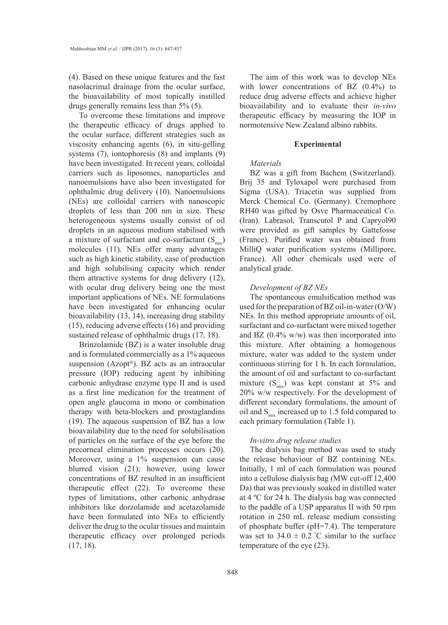(4). Based on these unique features and the fast nasolacrimal drainage from the ocular surface, the bioavailability of most topically instilled drugs generally remains less than 5% (5).

To overcome these limitations and improve the therapeutic efficacy of drugs applied to the ocular surface, different strategies such as viscosity enhancing agents (6), in situ-gelling systems (7), iontophoresis (8) and implants (9) have been investigated. In recent years, colloidal carriers such as liposomes, nanoparticles and nanoemulsions have also been investigated for ophthalmic drug delivery (10). Nanoemulsions (NEs) are colloidal carriers with nanoscopic droplets of less than 200 nm in size. These heterogeneous systems usually consist of oil droplets in an aqueous medium stabilised with a mixture of surfactant and co-surfactant  $(S_{mix})$ molecules (11). NEs offer many advantages such as high kinetic stability, ease of production and high solubilising capacity which render them attractive systems for drug delivery (12), with ocular drug delivery being one the most important applications of NEs. NE formulations have been investigated for enhancing ocular bioavailability (13, 14), increasing drug stability (15), reducing adverse effects (16) and providing sustained release of ophthalmic drugs (17, 18).

Brinzolamide (BZ) is a water insoluble drug and is formulated commercially as a 1% aqueous suspension (Azopt®). BZ acts as an intraocular pressure (IOP) reducing agent by inhibiting carbonic anhydrase enzyme type II and is used as a first line medication for the treatment of open angle glaucoma in mono or combination therapy with beta-blockers and prostaglandins (19). The aqueous suspension of BZ has a low bioavailability due to the need for solubilisation of particles on the surface of the eye before the precorneal elimination processes occurs (20). Moreover, using a 1% suspension can cause blurred vision (21); however, using lower concentrations of BZ resulted in an insufficient therapeutic effect (22). To overcome these types of limitations, other carbonic anhydrase inhibitors like dorzolamide and acetazolamide have been formulated into NEs to efficiently deliver the drug to the ocular tissues and maintain therapeutic efficacy over prolonged periods (17, 18).

The aim of this work was to develop NEs with lower concentrations of BZ  $(0.4\%)$  to reduce drug adverse effects and achieve higher bioavailability and to evaluate their *in-vivo* therapeutic efficacy by measuring the IOP in normotensive New Zealand albino rabbits.

## **Experimental**

## *Materials*

BZ was a gift from Bachem (Switzerland). Brij 35 and Tyloxapol were purchased from Sigma (USA). Triacetin was supplied from Merck Chemical Co. (Germany). Cremophore RH40 was gifted by Osve Pharmaceutical Co. (Iran). Labrasol, Transcutol P and Capryol90 were provided as gift samples by Gattefosse (France). Purified water was obtained from MilliQ water purification systems (Millipore, France). All other chemicals used were of analytical grade.

## *Development of BZ NEs*

The spontaneous emulsification method was used for the preparation of BZ oil-in-water (O/W) NEs. In this method appropriate amounts of oil, surfactant and co-surfactant were mixed together and BZ  $(0.4\% \text{ w/w})$  was then incorporated into this mixture. After obtaining a homogenous mixture, water was added to the system under continuous stirring for 1 h. In each formulation, the amount of oil and surfactant to co-surfactant mixture  $(S_{mix})$  was kept constant at 5% and 20% w/w respectively. For the development of different secondary formulations, the amount of oil and  $S<sub>mix</sub>$  increased up to 1.5 fold compared to each primary formulation (Table 1).

# *In-vitro drug release studies*

The dialysis bag method was used to study the release behaviour of BZ containing NEs. Initially, 1 ml of each formulation was poured into a cellulose dialysis bag (MW cut-off 12,400 Da) that was previously soaked in distilled water at 4 ºC for 24 h. The dialysis bag was connected to the paddle of a USP apparatus II with 50 rpm rotation in 250 mL release medium consisting of phosphate buffer (pH=7.4). The temperature was set to  $34.0 \pm 0.2$  °C similar to the surface temperature of the eye (23).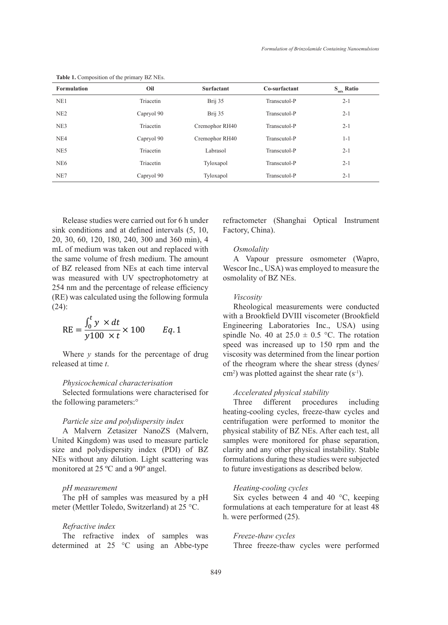| Formulation     | Oil        | Surfactant     | Co-surfactant | $\mathbf{S}_{\text{mix}}$ Ratio |
|-----------------|------------|----------------|---------------|---------------------------------|
| NE1             | Triacetin  | Brij 35        | Transcutol-P  | $2 - 1$                         |
| NE <sub>2</sub> | Capryol 90 | Brij 35        | Transcutol-P  | $2 - 1$                         |
| NE3             | Triacetin  | Cremophor RH40 | Transcutol-P  | $2 - 1$                         |
| NE4             | Capryol 90 | Cremophor RH40 | Transcutol-P  | $1 - 1$                         |
| NE5             | Triacetin  | Labrasol       | Transcutol-P  | $2 - 1$                         |
| NE <sub>6</sub> | Triacetin  | Tyloxapol      | Transcutol-P  | $2 - 1$                         |
| NE7             | Capryol 90 | Tyloxapol      | Transcutol-P  | $2 - 1$                         |
|                 |            |                |               |                                 |

**Table 1.** Composition of the primary BZ NEs.

Release studies were carried out for 6 h under refractometer (Shangh sink conditions and at defined intervals  $(5, 10, 10^{-1}$  and  $(9, 10^{-1})$  and  $(9, 10^{-1})$  and  $(9, 10^{-1})$  and  $(9, 10^{-1})$  and  $(9, 10^{-1})$  and  $(9, 10^{-1})$  and  $(9, 10^{-1})$  and  $(9, 10^{-1})$  and  $(9, 10^{-1})$  and  $(9, 10^{-1})$  and 20, 30, 60, 120, 180, 240, 300 and 360 min), 4 mL of medium was taken out and replaced with *Osmolality* the same volume of fresh medium. The amount A Vapour pressure of BZ released from NEs at each time interval was measured with UV spectrophotometry at osmolality of BZ NEs. 254 nm and the percentage of release efficiency (RE) was calculated using the following formula  $(24)$ :  $(RI)$ 

$$
RE = \frac{\int_0^t y \times dt}{y100 \times t} \times 100 \qquad Eq. 1
$$

Where *y* stands for the percentage of drug released at time *t*.

## *Physicochemical characterisation*

Selected formulations were characterised for the following parameters:°

# *Particle size and polydispersity index*

A Malvern Zetasizer NanoZS (Malvern, United Kingdom) was used to measure particle size and polydispersity index (PDI) of BZ NEs without any dilution. Light scattering was monitored at 25 ºC and a 90º angel.

#### *pH measurement*

The pH of samples was measured by a pH meter (Mettler Toledo, Switzerland) at 25 °C.

#### *Refractive index*

The refractive index of samples was determined at 25 °C using an Abbe-type refractometer (Shanghai Optical Instrument Factory, China).

## *Osmolality*

A Vapour pressure osmometer (Wapro, Wescor Inc., USA) was employed to measure the osmolality of BZ NEs.

#### *Viscosity*

Rheological measurements were conducted with a Brookfield DVIII viscometer (Brookfield Engineering Laboratories Inc., USA) using spindle No. 40 at  $25.0 \pm 0.5$  °C. The rotation speed was increased up to 150 rpm and the viscosity was determined from the linear portion of the rheogram where the shear stress (dynes/  $\text{cm}^2$ ) was plotted against the shear rate (s<sup>-1</sup>).

## *Accelerated physical stability*

Three different procedures including heating-cooling cycles, freeze-thaw cycles and centrifugation were performed to monitor the physical stability of BZ NEs. After each test, all samples were monitored for phase separation, clarity and any other physical instability. Stable formulations during these studies were subjected to future investigations as described below.

## *Heating-cooling cycles*

Six cycles between 4 and 40 °C, keeping formulations at each temperature for at least 48 h. were performed (25).

# *Freeze-thaw cycles*

Three freeze-thaw cycles were performed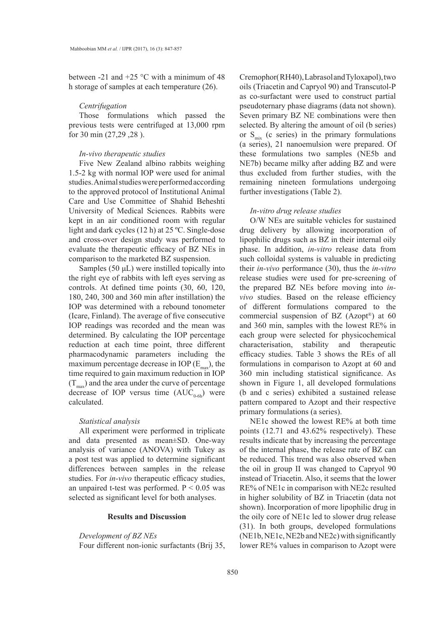between -21 and +25  $\degree$ C with a minimum of 48 h storage of samples at each temperature (26).

#### *Centrifugation*

Those formulations which passed the previous tests were centrifuged at 13,000 rpm for 30 min (27,29 ,28 ).

#### *In-vivo therapeutic studies*

Five New Zealand albino rabbits weighing 1.5-2 kg with normal IOP were used for animal studies. Animal studies were performed according to the approved protocol of Institutional Animal Care and Use Committee of Shahid Beheshti University of Medical Sciences. Rabbits were kept in an air conditioned room with regular light and dark cycles (12 h) at 25 ºC. Single-dose and cross-over design study was performed to evaluate the therapeutic efficacy of BZ NEs in comparison to the marketed BZ suspension.

Samples (50 μL) were instilled topically into the right eye of rabbits with left eyes serving as controls. At defined time points (30, 60, 120, 180, 240, 300 and 360 min after instillation) the IOP was determined with a rebound tonometer (Icare, Finland). The average of five consecutive IOP readings was recorded and the mean was determined. By calculating the IOP percentage reduction at each time point, three different pharmacodynamic parameters including the maximum percentage decrease in IOP  $(E_{\text{max}})$ , the time required to gain maximum reduction in IOP  $(T<sub>max</sub>)$  and the area under the curve of percentage decrease of IOP versus time  $(AUC_{0.6h})$  were calculated.

#### *Statistical analysis*

All experiment were performed in triplicate and data presented as mean±SD. One-way analysis of variance (ANOVA) with Tukey as a post test was applied to determine significant differences between samples in the release studies. For *in-vivo* therapeutic efficacy studies, an unpaired t-test was performed.  $P < 0.05$  was selected as significant level for both analyses.

## **Results and Discussion**

## *Development of BZ NEs*

Four different non-ionic surfactants (Brij 35,

Cremophor( RH40), Labrasol and Tyloxapol), two oils (Triacetin and Capryol 90) and Transcutol-P as co-surfactant were used to construct partial pseudoternary phase diagrams (data not shown). Seven primary BZ NE combinations were then selected. By altering the amount of oil (b series) or  $S_{mix}$  (c series) in the primary formulations (a series), 21 nanoemulsion were prepared. Of these formulations two samples (NE5b and NE7b) became milky after adding BZ and were thus excluded from further studies, with the remaining nineteen formulations undergoing further investigations (Table 2).

## *In-vitro drug release studies*

O/W NEs are suitable vehicles for sustained drug delivery by allowing incorporation of lipophilic drugs such as BZ in their internal oily phase. In addition, *in-vitro* release data from such colloidal systems is valuable in predicting their *in-vivo* performance (30), thus the *in-vitro* release studies were used for pre-screening of the prepared BZ NEs before moving into *invivo* studies. Based on the release efficiency of different formulations compared to the commercial suspension of BZ (Azopt®) at 60 and 360 min, samples with the lowest RE% in each group were selected for physicochemical characterisation, stability and therapeutic efficacy studies. Table 3 shows the REs of all formulations in comparison to Azopt at 60 and 360 min including statistical significance. As shown in Figure 1, all developed formulations (b and c series) exhibited a sustained release pattern compared to Azopt and their respective primary formulations (a series).

NE1c showed the lowest RE% at both time points (12.71 and 43.62% respectively). These results indicate that by increasing the percentage of the internal phase, the release rate of BZ can be reduced. This trend was also observed when the oil in group II was changed to Capryol 90 instead of Triacetin. Also, it seems that the lower RE% of NE1c in comparison with NE2c resulted in higher solubility of BZ in Triacetin (data not shown). Incorporation of more lipophilic drug in the oily core of NE1c led to slower drug release (31). In both groups, developed formulations (NE1b, NE1c, NE2b and NE2c) with significantly lower RE% values in comparison to Azopt were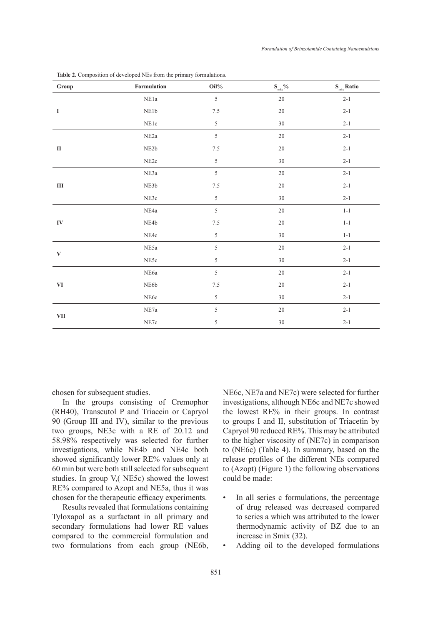| Group                  | $\bf Formulation$ | Oil%           | $S_{\rm mix}$ % | $\mathbf{S}_{\text{mix}}$ Ratio |
|------------------------|-------------------|----------------|-----------------|---------------------------------|
| I                      | $\rm NE1a$        | $\sqrt{5}$     | $20\,$          | $2 - 1$                         |
|                        | $\rm NE1b$        | $7.5\,$        | $20\,$          | $2 - 1$                         |
|                        | NE1c              | $\sqrt{5}$     | 30              | $2 - 1$                         |
|                        | NE2a              | 5              | 20              | $2 - 1$                         |
| $\rm II$               | NE2b              | $7.5\,$        | $20\,$          | $2 - 1$                         |
|                        | NE2c              | 5              | 30              | $2 - 1$                         |
|                        | $NE3a$            | $\mathfrak{S}$ | $20\,$          | $2 - 1$                         |
| Ш                      | $\rm NE3b$        | $7.5\,$        | $20\,$          | $2 - 1$                         |
|                        | NE3c              | $\sqrt{5}$     | 30              | $2 - 1$                         |
| ${\rm IV}$             | $\rm NE4a$        | $\mathfrak s$  | $20\,$          | $1\mbox{-}1$                    |
|                        | NE4b              | $7.5\,$        | $20\,$          | $1\mbox{-}1$                    |
|                        | NE4c              | $\sqrt{5}$     | $30\,$          | $1 - 1$                         |
| $\mathbf{V}$           | $\rm NE5a$        | $\sqrt{5}$     | $20\,$          | $2 - 1$                         |
|                        | NE5c              | $\sqrt{5}$     | 30              | $2 - 1$                         |
| $\mathbf{V}\mathbf{I}$ | NE6a              | 5              | $20\,$          | $2 - 1$                         |
|                        | NE6b              | $7.5\,$        | 20              | $2 - 1$                         |
|                        | NE6c              | 5              | 30              | $2 - 1$                         |
|                        | $\rm NE7a$        | $\sqrt{5}$     | $20\,$          | $2 - 1$                         |
| ${\bf VII}$            | $\rm NE7c$        | $\sqrt{5}$     | $30\,$          | $2 - 1$                         |

**Table 2.** Composition of developed NEs from the primary formulations.

chosen for subsequent studies.

In the groups consisting of Cremophor (RH40), Transcutol P and Triacein or Capryol 90 (Group III and IV), similar to the previous two groups, NE3c with a RE of 20.12 and 58.98% respectively was selected for further investigations, while NE4b and NE4c both showed significantly lower RE% values only at 60 min but were both still selected for subsequent studies. In group V,( NE5c) showed the lowest RE% compared to Azopt and NE5a, thus it was chosen for the therapeutic efficacy experiments.

Results revealed that formulations containing Tyloxapol as a surfactant in all primary and secondary formulations had lower RE values compared to the commercial formulation and two formulations from each group (NE6b, NE6c, NE7a and NE7c) were selected for further investigations, although NE6c and NE7c showed the lowest RE% in their groups. In contrast to groups I and II, substitution of Triacetin by Capryol 90 reduced RE%. This may be attributed to the higher viscosity of (NE7c) in comparison to (NE6c) (Table 4). In summary, based on the release profiles of the different NEs compared to (Azopt) (Figure 1) the following observations could be made:

- In all series c formulations, the percentage of drug released was decreased compared to series a which was attributed to the lower thermodynamic activity of BZ due to an increase in Smix (32).
- Adding oil to the developed formulations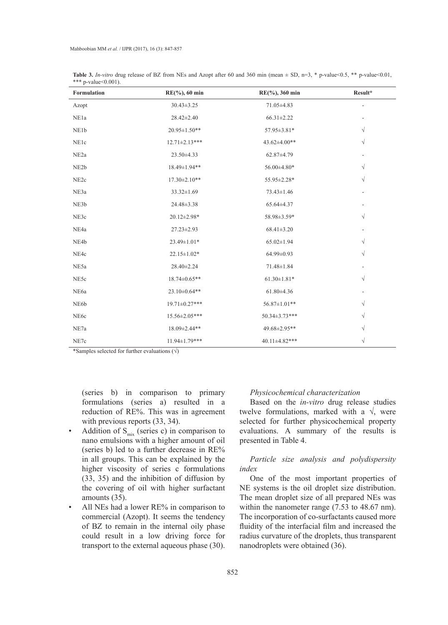| Formulation       | $RE(\frac{9}{6})$ , 60 min | $RE(\frac{9}{6})$ , 360 min | Result*                  |
|-------------------|----------------------------|-----------------------------|--------------------------|
| Azopt             | $30.43 \pm 3.25$           | 71.05±4.83                  |                          |
| NE1a              | $28.42 \pm 2.40$           | $66.31 \pm 2.22$            |                          |
| NE1b              | 20.95±1.50**               | 57.95±3.81*                 | $\sqrt{}$                |
| NE1c              | $12.71 \pm 2.13$ ***       | 43.62±4.00**                | $\sqrt{}$                |
| NE <sub>2a</sub>  | $23.50 \pm 4.33$           | $62.87{\pm}4.79$            | ٠                        |
| NE <sub>2</sub> b | 18.49±1.94**               | 56.00±4.80*                 | $\sqrt{}$                |
| NE <sub>2c</sub>  | $17.30 \pm 2.10**$         | 55.95±2.28*                 | $\sqrt{}$                |
| NE3a              | $33.32 \pm 1.69$           | $73.43 \pm 1.46$            | $\overline{a}$           |
| NE3b              | 24.48±3.38                 | 65.64±4.37                  | $\overline{\phantom{a}}$ |
| NE3c              | 20.12±2.98*                | 58.98±3.59*                 | $\sqrt{}$                |
| NE4a              | 27.23±2.93                 | $68.41 \pm 3.20$            | $\overline{\phantom{a}}$ |
| NE4b              | 23.49±1.01*                | $65.02 \pm 1.94$            | $\sqrt{}$                |
| NE4c              | 22.15±1.02*                | 64.99±0.93                  | $\sqrt{}$                |
| NE5a              | 28.40±2.24                 | 71.48±1.84                  | $\overline{\phantom{m}}$ |
| NE5c              | 18.74±0.65**               | $61.30 \pm 1.81*$           | $\sqrt{}$                |
| NE <sub>6a</sub>  | $23.10\pm0.64**$           | $61.80\pm4.36$              |                          |
| NE6b              | 19.71±0.27***              | 56.87±1.01**                | $\sqrt{}$                |
| NE6c              | $15.56 \pm 2.05$ ***       | 50.34±3.73***               | $\sqrt{}$                |
| NE7a              | 18.09±2.44**               | 49.68±2.95**                | $\sqrt{}$                |
| NE7c              | 11.94±1.79***              | 40.11±4.82***               | $\sqrt{}$                |

**Table 3.** *In-vitro* drug release of BZ from NEs and Azopt after 60 and 360 min (mean  $\pm$  SD, n=3, \* p-value<0.5, \*\* p-value<0.01, \*\*\* p-value<0.001).

\*Samples selected for further evaluations  $(\sqrt{})$ 

(series b) in comparison to primary formulations (series a) resulted in a reduction of RE%. This was in agreement with previous reports (33, 34).

- Addition of  $S<sub>mix</sub>$  (series c) in comparison to nano emulsions with a higher amount of oil (series b) led to a further decrease in RE% in all groups. This can be explained by the higher viscosity of series c formulations (33, 35) and the inhibition of diffusion by the covering of oil with higher surfactant amounts (35).
- All NEs had a lower RE% in comparison to commercial (Azopt). It seems the tendency of BZ to remain in the internal oily phase could result in a low driving force for transport to the external aqueous phase (30).

# *Physicochemical characterization*

Based on the *in-vitro* drug release studies twelve formulations, marked with a  $\sqrt{ }$ , were selected for further physicochemical property evaluations. A summary of the results is presented in Table 4.

# *Particle size analysis and polydispersity index*

One of the most important properties of NE systems is the oil droplet size distribution. The mean droplet size of all prepared NEs was within the nanometer range (7.53 to 48.67 nm). The incorporation of co-surfactants caused more fluidity of the interfacial film and increased the radius curvature of the droplets, thus transparent nanodroplets were obtained (36).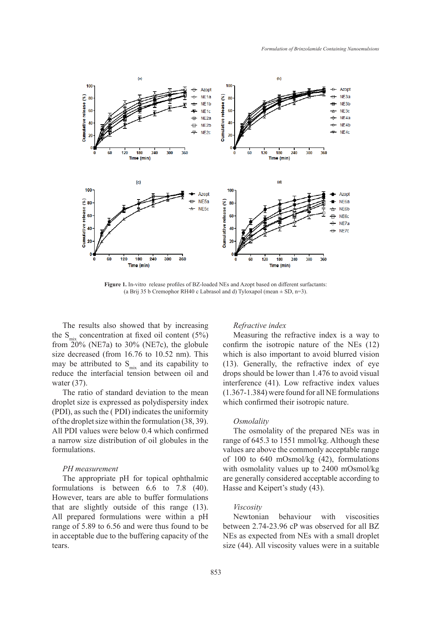

**Figure 1.** In-vitro release profiles of BZ-loaded NEs and Azopt based on different surfactants: (a Brij 35 b Cremophor RH40 c Labrasol and d) Tyloxapol (mean  $\pm$  SD, n=3).

The results also showed that by increasing the  $S_{mix}$  concentration at fixed oil content (5%) from 20% (NE7a) to 30% (NE7c), the globule size decreased (from 16.76 to 10.52 nm). This may be attributed to  $S<sub>mix</sub>$  and its capability to reduce the interfacial tension between oil and water (37).

The ratio of standard deviation to the mean droplet size is expressed as polydispersity index (PDI), as such the ( PDI) indicates the uniformity of the droplet size within the formulation (38, 39). All PDI values were below 0.4 which confirmed a narrow size distribution of oil globules in the formulations.

## *PH measurement*

The appropriate pH for topical ophthalmic formulations is between 6.6 to 7.8 (40). However, tears are able to buffer formulations that are slightly outside of this range (13). All prepared formulations were within a pH range of 5.89 to 6.56 and were thus found to be in acceptable due to the buffering capacity of the tears.

## *Refractive index*

Measuring the refractive index is a way to confirm the isotropic nature of the NEs (12) which is also important to avoid blurred vision (13). Generally, the refractive index of eye drops should be lower than 1.476 to avoid visual interference (41). Low refractive index values (1.367-1.384) were found for all NE formulations which confirmed their isotropic nature.

#### *Osmolality*

The osmolality of the prepared NEs was in range of 645.3 to 1551 mmol/kg. Although these values are above the commonly acceptable range of 100 to 640 mOsmol/kg (42), formulations with osmolality values up to 2400 mOsmol/kg are generally considered acceptable according to Hasse and Keipert's study (43).

#### *Viscosity*

Newtonian behaviour with viscosities between 2.74-23.96 cP was observed for all BZ NEs as expected from NEs with a small droplet size (44). All viscosity values were in a suitable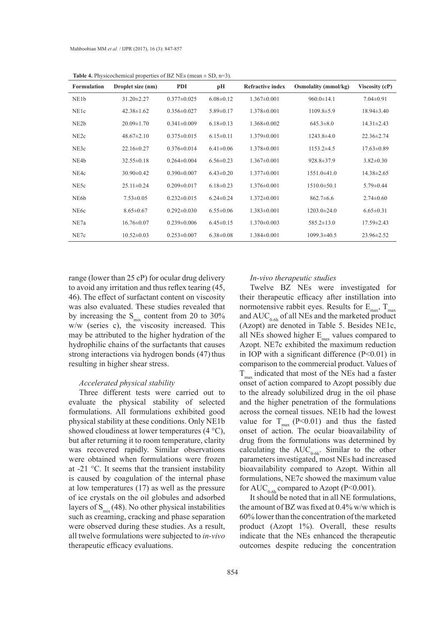| <b>Formulation</b> | Droplet size (nm) | <b>PDI</b>        | pH              | <b>Refractive index</b> | <b>Osmolality</b> (mmol/kg) | Viscosity (cP)   |
|--------------------|-------------------|-------------------|-----------------|-------------------------|-----------------------------|------------------|
| NE1b               | $31.20 \pm 2.27$  | $0.377 \pm 0.025$ | $6.08 \pm 0.12$ | $1.367 \pm 0.001$       | $960.0 \pm 14.1$            | $7.04 \pm 0.91$  |
| NE1c               | $42.38 \pm 1.62$  | $0.356 \pm 0.027$ | $5.89 \pm 0.17$ | $1.378 \pm 0.001$       | $1109.8 \pm 5.9$            | $18.94 \pm 3.40$ |
| NE <sub>2</sub> b  | $20.09 \pm 1.70$  | $0.341 \pm 0.009$ | $6.18 \pm 0.13$ | $1.368 \pm 0.002$       | $645.3 \pm 8.0$             | $14.31 \pm 2.43$ |
| NE <sub>2c</sub>   | $48.67 \pm 2.10$  | $0.375 \pm 0.015$ | $6.15 \pm 0.11$ | $1.379 \pm 0.001$       | $1243.8+4.0$                | $22.36 \pm 2.74$ |
| NE3c               | $22.16 \pm 0.27$  | $0.376 \pm 0.014$ | $6.41 \pm 0.06$ | $1.378 \pm 0.001$       | $1153.2+4.5$                | $17.63 \pm 0.89$ |
| NE4b               | $32.55 \pm 0.18$  | $0.264 \pm 0.004$ | $6.56 \pm 0.23$ | $1.367 \pm 0.001$       | $928.8 \pm 37.9$            | $3.82 \pm 0.30$  |
| NE4c               | $30.90 \pm 0.42$  | $0.390 \pm 0.007$ | $6.43 \pm 0.20$ | $1.377 \pm 0.001$       | $1551.0\pm41.0$             | $14.38 \pm 2.65$ |
| NE5c               | $25.11 \pm 0.24$  | $0.209 \pm 0.017$ | $6.18 \pm 0.23$ | $1.376 \pm 0.001$       | $1510.0 \pm 50.1$           | $5.79 \pm 0.44$  |
| NE <sub>6</sub> b  | $7.53 \pm 0.05$   | $0.232 \pm 0.015$ | $6.24 \pm 0.24$ | $1.372 \pm 0.001$       | $862.7\pm 6.6$              | $2.74 \pm 0.60$  |
| NE <sub>6</sub> c  | $8.65 \pm 0.67$   | $0.292 \pm 0.030$ | $6.55 \pm 0.06$ | $1.383 \pm 0.001$       | $1203.0 \pm 24.0$           | $6.65 \pm 0.31$  |
| NE7a               | $16.76 \pm 0.07$  | $0.239 \pm 0.006$ | $6.45 \pm 0.15$ | $1.370 \pm 0.003$       | $585.2 \pm 13.0$            | $17.59 \pm 2.43$ |
| NE7c               | $10.52 \pm 0.03$  | $0.253 \pm 0.007$ | $6.38 \pm 0.08$ | $1.384 \pm 0.001$       | $1099.3 \pm 40.5$           | 23.96±2.52       |

**Table 4.** Physicochemical properties of BZ NEs (mean  $\pm$  SD, n=3).

range (lower than 25 cP) for ocular drug delivery to avoid any irritation and thus reflex tearing (45, 46). The effect of surfactant content on viscosity was also evaluated. These studies revealed that by increasing the  $S_{mix}$  content from 20 to 30% w/w (series c), the viscosity increased. This may be attributed to the higher hydration of the hydrophilic chains of the surfactants that causes strong interactions via hydrogen bonds (47) thus resulting in higher shear stress.

## *Accelerated physical stability*

Three different tests were carried out to evaluate the physical stability of selected formulations. All formulations exhibited good physical stability at these conditions. Only NE1b showed cloudiness at lower temperatures (4 °C), but after returning it to room temperature, clarity was recovered rapidly. Similar observations were obtained when formulations were frozen at  $-21$  °C. It seems that the transient instability is caused by coagulation of the internal phase at low temperatures (17) as well as the pressure of ice crystals on the oil globules and adsorbed layers of  $S<sub>mix</sub>$  (48). No other physical instabilities such as creaming, cracking and phase separation were observed during these studies. As a result, all twelve formulations were subjected to *in-vivo* therapeutic efficacy evaluations.

#### *In-vivo therapeutic studies*

Twelve BZ NEs were investigated for their therapeutic efficacy after instillation into normotensive rabbit eyes. Results for  $E_{\text{max}}$ ,  $T_{\text{max}}$ and  $\mathrm{AUC}_{_{0-6\mathrm{h}}}$  of all NEs and the marketed product (Azopt) are denoted in Table 5. Besides NE1c, all NEs showed higher  $E_{\text{max}}$  values compared to Azopt. NE7c exhibited the maximum reduction in IOP with a significant difference  $(P<0.01)$  in comparison to the commercial product. Values of  $T_{\text{max}}$  indicated that most of the NEs had a faster onset of action compared to Azopt possibly due to the already solubilized drug in the oil phase and the higher penetration of the formulations across the corneal tissues. NE1b had the lowest value for  $T_{\text{max}}$  (P<0.01) and thus the fasted onset of action. The ocular bioavailability of drug from the formulations was determined by calculating the  $AUC_{0.6h}$ . Similar to the other parameters investigated, most NEs had increased bioavailability compared to Azopt. Within all formulations, NE7c showed the maximum value for  $AUC_{0.6h}$  compared to Azopt (P<0.001).

It should be noted that in all NE formulations, the amount of BZ was fixed at 0.4% w/w which is 60% lower than the concentration of the marketed product (Azopt 1%). Overall, these results indicate that the NEs enhanced the therapeutic outcomes despite reducing the concentration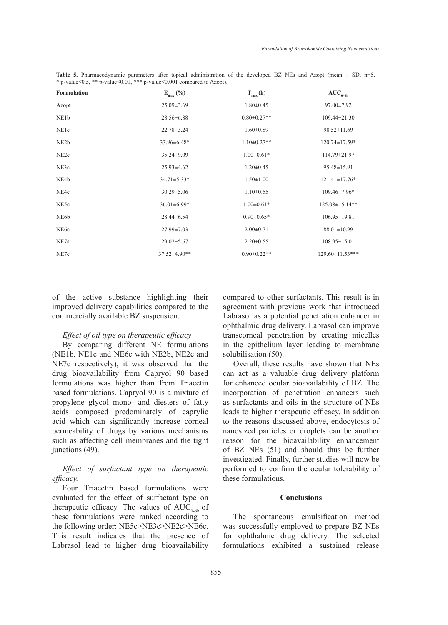| <b>Formulation</b> | $E_{max}$ (%)      | $T_{max}(h)$       | $\mathrm{AUC}_{\scriptscriptstyle 0\text{-6h}}$ |
|--------------------|--------------------|--------------------|-------------------------------------------------|
| Azopt              | $25.09 \pm 3.69$   | $1.80 \pm 0.45$    | 97.00±7.92                                      |
| NE1b               | $28.56 \pm 6.88$   | $0.80 \pm 0.27**$  | $109.44 \pm 21.30$                              |
| NE <sub>1</sub> c  | 22.78 ± 3.24       | $1.60 \pm 0.89$    | $90.52 \pm 11.69$                               |
| NE <sub>2</sub> b  | 33.96±6.48*        | $1.10 \pm 0.27**$  | 120.74±17.59*                                   |
| NE <sub>2c</sub>   | $35.24 \pm 9.09$   | $1.00 \pm 0.61*$   | 114.79±21.97                                    |
| NE3c               | $25.93 \pm 4.62$   | $1.20 \pm 0.45$    | 95.48±15.91                                     |
| NE4b               | $34.71 \pm 5.33*$  | $1.50 \pm 1.00$    | $121.41 \pm 17.76*$                             |
| NE4c               | $30.29 \pm 5.06$   | $1.10 \pm 0.55$    | 109.46±7.96*                                    |
| NE5c               | $36.01 \pm 6.99*$  | $1.00 \pm 0.61*$   | 125.08±15.14**                                  |
| NE <sub>6</sub> b  | $28.44\pm 6.54$    | $0.90 \pm 0.65*$   | $106.95 \pm 19.81$                              |
| NE <sub>6</sub> c  | $27.99 \pm 7.03$   | $2.00 \pm 0.71$    | $88.01 \pm 10.99$                               |
| NE7a               | $29.02 \pm 5.67$   | $2.20 \pm 0.55$    | $108.95 \pm 15.01$                              |
| NE7c               | $37.52 \pm 4.90**$ | $0.90 \pm 0.22$ ** | 129.60±11.53***                                 |

**Table 5.** Pharmacodynamic parameters after topical administration of the developed BZ NEs and Azopt (mean  $\pm$  SD, n=5, \* p-value<0.5, \*\* p-value<0.01, \*\*\* p-value<0.001 compared to Azopt).

of the active substance highlighting their improved delivery capabilities compared to the commercially available BZ suspension.

## *Effect of oil type on therapeutic efficacy*

By comparing different NE formulations (NE1b, NE1c and NE6c with NE2b, NE2c and NE7c respectively), it was observed that the drug bioavailability from Capryol 90 based formulations was higher than from Triacetin based formulations. Capryol 90 is a mixture of propylene glycol mono- and diesters of fatty acids composed predominately of caprylic acid which can significantly increase corneal permeability of drugs by various mechanisms such as affecting cell membranes and the tight junctions (49).

# *Effect of surfactant type on therapeutic efficacy.*

Four Triacetin based formulations were evaluated for the effect of surfactant type on therapeutic efficacy. The values of  $AUC_{0.6h}$  of these formulations were ranked according to the following order: NE5c>NE3c>NE2c>NE6c. This result indicates that the presence of Labrasol lead to higher drug bioavailability compared to other surfactants. This result is in agreement with previous work that introduced Labrasol as a potential penetration enhancer in ophthalmic drug delivery. Labrasol can improve transcorneal penetration by creating micelles in the epithelium layer leading to membrane solubilisation (50).

Overall, these results have shown that NEs can act as a valuable drug delivery platform for enhanced ocular bioavailability of BZ. The incorporation of penetration enhancers such as surfactants and oils in the structure of NEs leads to higher therapeutic efficacy. In addition to the reasons discussed above, endocytosis of nanosized particles or droplets can be another reason for the bioavailability enhancement of BZ NEs (51) and should thus be further investigated. Finally, further studies will now be performed to confirm the ocular tolerability of these formulations.

#### **Conclusions**

The spontaneous emulsification method was successfully employed to prepare BZ NEs for ophthalmic drug delivery. The selected formulations exhibited a sustained release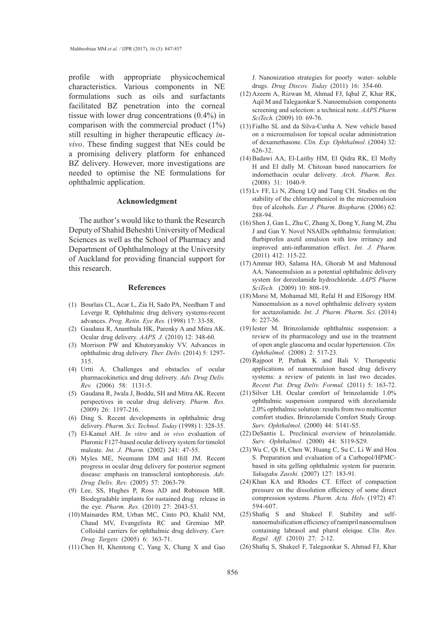profile with appropriate physicochemical characteristics. Various components in NE formulations such as oils and surfactants facilitated BZ penetration into the corneal tissue with lower drug concentrations (0.4%) in comparison with the commercial product (1%) still resulting in higher therapeutic efficacy *invivo*. These finding suggest that NEs could be a promising delivery platform for enhanced BZ delivery. However, more investigations are needed to optimise the NE formulations for ophthalmic application.

#### **Acknowledgment**

The author's would like to thank the Research Deputy of Shahid Beheshti University of Medical Sciences as well as the School of Pharmacy and Department of Ophthalmology at the University of Auckland for providing financial support for this research.

#### **References**

- Bourlais CL, Acar L, Zia H, Sado PA, Needham T and (1) Leverge R. Ophthalmic drug delivery systems-recent advances. *Prog. Retin. Eye Res.* (1998) 17: 33-58.
- (2) Gaudana R, Ananthula HK, Parenky A and Mitra AK. Ocular drug delivery. *AAPS. J.* (2010) 12: 348-60.
- (3) Morrison PW and Khutoryanskiy VV. Advances in ophthalmic drug delivery. *Ther. Deliv.* (2014) 5: 1297- 315.
- Urtti A. Challenges and obstacles of ocular (4) pharmacokinetics and drug delivery. *Adv. Drug Deliv. Rev.* (2006) 58: 1131-5.
- (5) Gaudana R, Jwala J, Boddu, SH and Mitra AK. Recent perspectives in ocular drug delivery. *Pharm. Res.* (2009) 26: 1197-216.
- (6) Ding S. Recent developments in ophthalmic drug delivery. *Pharm. Sci. Technol. Today* (1998) 1: 328-35.
- El-Kamel AH. *In vitro* and *in vivo* evaluation of (7) Pluronic F127-based ocular delivery system for timolol maleate. *Int. J. Pharm.* (2002) 241: 47-55.
- Myles ME, Neumann DM and Hill JM. Recent (8) progress in ocular drug delivery for posterior segment disease: emphasis on transscleral iontophoresis. *Adv. Drug Deliv. Rev.* (2005) 57: 2063-79.
- Lee, SS, Hughes P, Ross AD and Robinson MR. (9) Biodegradable implants for sustained drug release in the eye. *Pharm. Res.* (2010) 27: 2043-53.
- Mainardes RM, Urban MC, Cinto PO, Khalil NM, (10) Chaud MV, Evangelista RC and Gremiao MP. Colloidal carriers for ophthalmic drug delivery. *Curr. Drug Targets* (2005) 6: 363-71.
- $(11)$  Chen H, Khemtong C, Yang X, Chang X and Gao

J. Nanonization strategies for poorly water- soluble drugs. *Drug Discov. Today* (2011) 16: 354-60.

- (12) Azeem A, Rizwan M, Ahmad FJ, Iqbal Z, Khar RK, Aqil M and Talegaonkar S. Nanoemulsion components screening and selection: a technical note. *AAPS Pharm SciTech.* (2009) 10: 69-76.
- Fialho SL and da Silva-Cunha A. New vehicle based (13) on a microemulsion for topical ocular administration of dexamethasone. *Clin. Exp. Ophthalmol.* (2004) 32: 626-32.
- (14) Badawi AA, El-Laithy HM, El Qidra RK, El Mofty H and El dally M. Chitosan based nanocarriers for indomethacin ocular delivery. *Arch. Pharm. Res.* (2008) 31: 1040-9.
- $(15)$  Lv FF, Li N, Zheng LQ and Tung CH. Studies on the stability of the chloramphenicol in the microemulsion free of alcohols. *Eur. J. Pharm. Biopharm.* (2006) 62: 288-94.
- (16) Shen J, Gan L, Zhu C, Zhang X, Dong Y, Jiang M, Zhu J and Gan Y. Novel NSAIDs ophthalmic formulation: flurbiprofen axetil emulsion with low irritancy and improved anti-inflammation effect. *Int. J. Pharm.* (2011) 412: 115-22.
- Ammar HO, Salama HA, Ghorab M and Mahmoud (17) AA. Nanoemulsion as a potential ophthalmic delivery system for dorzolamide hydrochloride. *AAPS Pharm SciTech.* (2009) 10: 808-19.
- (18) Morsi M, Mohamad MI, Refal H and ElSorogy HM. Nanoemulsion as a novel ophthalmic delivery system for acetazolamide. *Int. J. Pharm. Pharm. Sci.* (2014) 6: 227-36.
- (19) Iester M. Brinzolamide ophthalmic suspension: a review of its pharmacology and use in the treatment of open angle glaucoma and ocular hypertension. *Clin. Ophthalmol.* (2008) 2: 517-23.
- $(20)$  Rajpoot P, Pathak K and Bali V. Therapeutic applications of nanoemulsion based drug delivery systems: a review of patents in last two decades. *Recent Pat. Drug Deliv. Formul.* (2011) 5: 163-72.
- $(21)$  Silver LH. Ocular comfort of brinzolamide 1.0% ophthalmic suspension compared with dorzolamide 2.0% ophthalmic solution: results from two multicenter comfort studies. Brinzolamide Comfort Study Group. *Surv. Ophthalmol*. (2000) 44: S141-S5.
- (22) DeSantis L. Preclinical overview of brinzolamide. *Surv. Ophthalmol.* (2000) 44: S119-S29.
- Wu C, Qi H, Chen W, Huang C, Su C, Li W and Hou (23) S. Preparation and evaluation of a Carbopol/HPMCbased in situ gelling ophthalmic system for puerarin. *Yakugaku Zasshi.* (2007) 127: 183-91.
- (24) Khan KA and Rhodes CT. Effect of compaction pressure on the dissolution efficiency of some direct compression systems. *Pharm. Acta. Helv.* (1972) 47: 594-607.
- (25) Shafiq S and Shakeel F. Stability and selfnanoemulsification efficiency of ramipril nanoemulison containing labrasol and plurol oleique. *Clin. Res. Regul. Aff*. (2010) 27: 2-12.
- (26) Shafiq S, Shakeel F, Talegaonkar S, Ahmad FJ, Khar